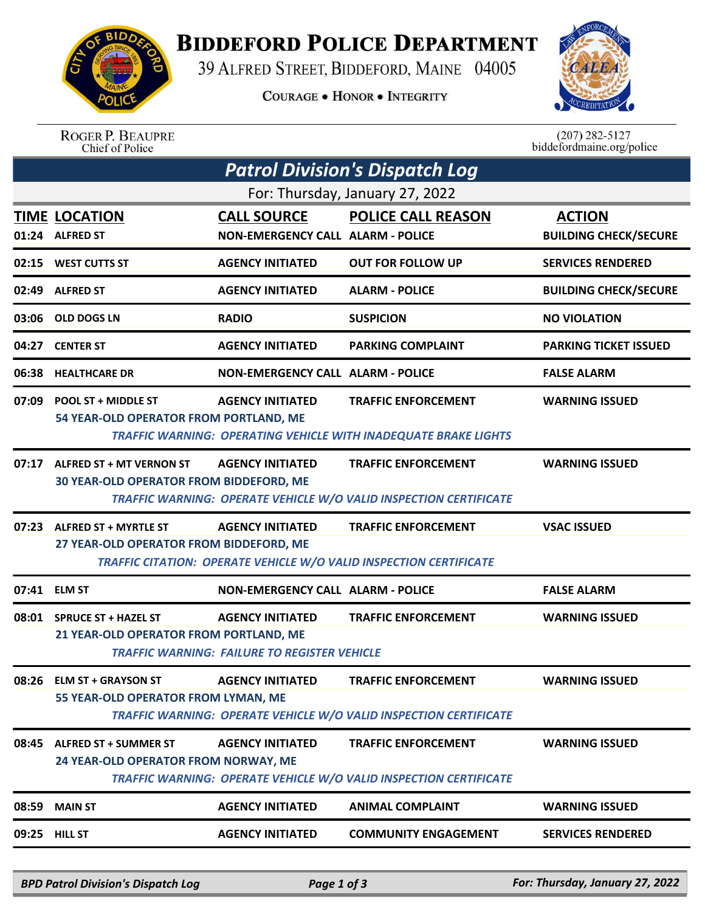

## **BIDDEFORD POLICE DEPARTMENT**

39 ALFRED STREET, BIDDEFORD, MAINE 04005

**COURAGE . HONOR . INTEGRITY** 



ROGER P. BEAUPRE<br>Chief of Police

 $(207)$  282-5127<br>biddefordmaine.org/police

| <b>Patrol Division's Dispatch Log</b> |                                                                                  |                                                                                |                                                                                                         |                                               |  |  |  |  |
|---------------------------------------|----------------------------------------------------------------------------------|--------------------------------------------------------------------------------|---------------------------------------------------------------------------------------------------------|-----------------------------------------------|--|--|--|--|
| For: Thursday, January 27, 2022       |                                                                                  |                                                                                |                                                                                                         |                                               |  |  |  |  |
|                                       | <b>TIME LOCATION</b><br>01:24 ALFRED ST                                          | <b>CALL SOURCE</b><br><b>NON-EMERGENCY CALL ALARM - POLICE</b>                 | <b>POLICE CALL REASON</b>                                                                               | <b>ACTION</b><br><b>BUILDING CHECK/SECURE</b> |  |  |  |  |
|                                       | 02:15 WEST CUTTS ST                                                              | <b>AGENCY INITIATED</b>                                                        | <b>OUT FOR FOLLOW UP</b>                                                                                | <b>SERVICES RENDERED</b>                      |  |  |  |  |
|                                       | 02:49 ALFRED ST                                                                  | <b>AGENCY INITIATED</b>                                                        | <b>ALARM - POLICE</b>                                                                                   | <b>BUILDING CHECK/SECURE</b>                  |  |  |  |  |
|                                       | 03:06 OLD DOGS LN                                                                | <b>RADIO</b>                                                                   | <b>SUSPICION</b>                                                                                        | <b>NO VIOLATION</b>                           |  |  |  |  |
|                                       | 04:27 CENTER ST                                                                  | <b>AGENCY INITIATED</b>                                                        | <b>PARKING COMPLAINT</b>                                                                                | <b>PARKING TICKET ISSUED</b>                  |  |  |  |  |
|                                       | 06:38 HEALTHCARE DR                                                              | <b>NON-EMERGENCY CALL ALARM - POLICE</b>                                       |                                                                                                         | <b>FALSE ALARM</b>                            |  |  |  |  |
|                                       | $07:09$ POOL ST + MIDDLE ST<br>54 YEAR-OLD OPERATOR FROM PORTLAND, ME            | <b>AGENCY INITIATED</b>                                                        | <b>TRAFFIC ENFORCEMENT</b><br><b>TRAFFIC WARNING: OPERATING VEHICLE WITH INADEQUATE BRAKE LIGHTS</b>    | <b>WARNING ISSUED</b>                         |  |  |  |  |
|                                       | 07:17 ALFRED ST + MT VERNON ST<br><b>30 YEAR-OLD OPERATOR FROM BIDDEFORD, ME</b> | <b>AGENCY INITIATED</b>                                                        | <b>TRAFFIC ENFORCEMENT</b><br>TRAFFIC WARNING: OPERATE VEHICLE W/O VALID INSPECTION CERTIFICATE         | <b>WARNING ISSUED</b>                         |  |  |  |  |
|                                       | 07:23 ALFRED ST + MYRTLE ST<br>27 YEAR-OLD OPERATOR FROM BIDDEFORD, ME           | <b>AGENCY INITIATED</b>                                                        | <b>TRAFFIC ENFORCEMENT</b><br><b>TRAFFIC CITATION: OPERATE VEHICLE W/O VALID INSPECTION CERTIFICATE</b> | <b>VSAC ISSUED</b>                            |  |  |  |  |
|                                       | 07:41 ELM ST                                                                     | <b>NON-EMERGENCY CALL ALARM - POLICE</b>                                       |                                                                                                         | <b>FALSE ALARM</b>                            |  |  |  |  |
|                                       | 08:01 SPRUCE ST + HAZEL ST<br>21 YEAR-OLD OPERATOR FROM PORTLAND, ME             | <b>AGENCY INITIATED</b><br><b>TRAFFIC WARNING: FAILURE TO REGISTER VEHICLE</b> | <b>TRAFFIC ENFORCEMENT</b>                                                                              | <b>WARNING ISSUED</b>                         |  |  |  |  |
|                                       | 08:26 ELM ST + GRAYSON ST<br>55 YEAR-OLD OPERATOR FROM LYMAN, ME                 | <b>AGENCY INITIATED</b>                                                        | <b>TRAFFIC ENFORCEMENT</b><br>TRAFFIC WARNING: OPERATE VEHICLE W/O VALID INSPECTION CERTIFICATE         | <b>WARNING ISSUED</b>                         |  |  |  |  |
|                                       | 08:45 ALFRED ST + SUMMER ST<br>24 YEAR-OLD OPERATOR FROM NORWAY, ME              | <b>AGENCY INITIATED</b>                                                        | <b>TRAFFIC ENFORCEMENT</b><br><b>TRAFFIC WARNING: OPERATE VEHICLE W/O VALID INSPECTION CERTIFICATE</b>  | <b>WARNING ISSUED</b>                         |  |  |  |  |
|                                       | 08:59 MAIN ST                                                                    | <b>AGENCY INITIATED</b>                                                        | <b>ANIMAL COMPLAINT</b>                                                                                 | <b>WARNING ISSUED</b>                         |  |  |  |  |
|                                       | 09:25 HILL ST                                                                    | <b>AGENCY INITIATED</b>                                                        | <b>COMMUNITY ENGAGEMENT</b>                                                                             | <b>SERVICES RENDERED</b>                      |  |  |  |  |
|                                       |                                                                                  |                                                                                |                                                                                                         |                                               |  |  |  |  |

*BPD Patrol Division's Dispatch Log Page 1 of 3 For: Thursday, January 27, 2022*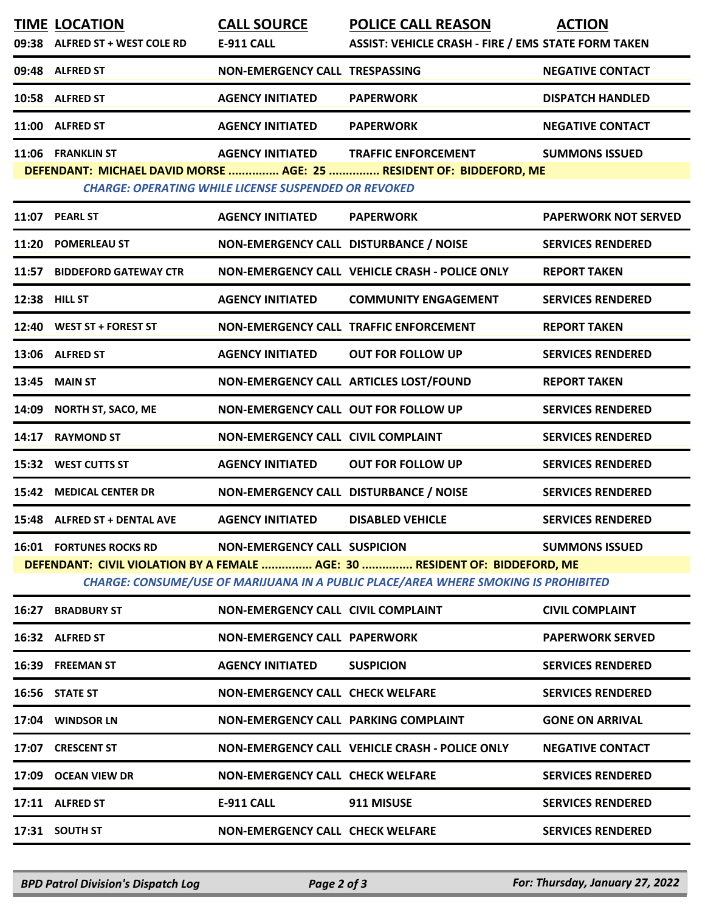|       | <b>TIME LOCATION</b><br>09:38 ALFRED ST + WEST COLE RD | <b>CALL SOURCE</b><br>E-911 CALL                                                       | <b>POLICE CALL REASON</b><br><b>ASSIST: VEHICLE CRASH - FIRE / EMS STATE FORM TAKEN</b>                                                                                   | <b>ACTION</b>               |
|-------|--------------------------------------------------------|----------------------------------------------------------------------------------------|---------------------------------------------------------------------------------------------------------------------------------------------------------------------------|-----------------------------|
|       | 09:48 ALFRED ST                                        | <b>NON-EMERGENCY CALL TRESPASSING</b>                                                  |                                                                                                                                                                           | <b>NEGATIVE CONTACT</b>     |
|       | 10:58 ALFRED ST                                        | <b>AGENCY INITIATED</b>                                                                | <b>PAPERWORK</b>                                                                                                                                                          | <b>DISPATCH HANDLED</b>     |
|       | 11:00 ALFRED ST                                        | <b>AGENCY INITIATED</b>                                                                | <b>PAPERWORK</b>                                                                                                                                                          | <b>NEGATIVE CONTACT</b>     |
|       | 11:06 FRANKLIN ST                                      | <b>AGENCY INITIATED</b><br><b>CHARGE: OPERATING WHILE LICENSE SUSPENDED OR REVOKED</b> | <b>TRAFFIC ENFORCEMENT</b><br>DEFENDANT: MICHAEL DAVID MORSE  AGE: 25  RESIDENT OF: BIDDEFORD, ME                                                                         | <b>SUMMONS ISSUED</b>       |
|       | 11:07 PEARL ST                                         | <b>AGENCY INITIATED</b>                                                                | <b>PAPERWORK</b>                                                                                                                                                          | <b>PAPERWORK NOT SERVED</b> |
|       | 11:20 POMERLEAU ST                                     | NON-EMERGENCY CALL DISTURBANCE / NOISE                                                 |                                                                                                                                                                           | <b>SERVICES RENDERED</b>    |
| 11:57 | <b>BIDDEFORD GATEWAY CTR</b>                           |                                                                                        | NON-EMERGENCY CALL VEHICLE CRASH - POLICE ONLY                                                                                                                            | <b>REPORT TAKEN</b>         |
|       | 12:38 HILL ST                                          | <b>AGENCY INITIATED</b>                                                                | <b>COMMUNITY ENGAGEMENT</b>                                                                                                                                               | <b>SERVICES RENDERED</b>    |
| 12:40 | WEST ST + FOREST ST                                    |                                                                                        | <b>NON-EMERGENCY CALL TRAFFIC ENFORCEMENT</b>                                                                                                                             | <b>REPORT TAKEN</b>         |
|       | 13:06 ALFRED ST                                        | <b>AGENCY INITIATED</b>                                                                | <b>OUT FOR FOLLOW UP</b>                                                                                                                                                  | <b>SERVICES RENDERED</b>    |
| 13:45 | <b>MAIN ST</b>                                         | NON-EMERGENCY CALL ARTICLES LOST/FOUND                                                 |                                                                                                                                                                           | <b>REPORT TAKEN</b>         |
| 14:09 | NORTH ST, SACO, ME                                     | NON-EMERGENCY CALL OUT FOR FOLLOW UP                                                   |                                                                                                                                                                           | <b>SERVICES RENDERED</b>    |
| 14:17 | <b>RAYMOND ST</b>                                      | <b>NON-EMERGENCY CALL CIVIL COMPLAINT</b>                                              |                                                                                                                                                                           | <b>SERVICES RENDERED</b>    |
| 15:32 | <b>WEST CUTTS ST</b>                                   | <b>AGENCY INITIATED</b>                                                                | <b>OUT FOR FOLLOW UP</b>                                                                                                                                                  | <b>SERVICES RENDERED</b>    |
| 15:42 | <b>MEDICAL CENTER DR</b>                               | NON-EMERGENCY CALL DISTURBANCE / NOISE                                                 |                                                                                                                                                                           | <b>SERVICES RENDERED</b>    |
|       | 15:48 ALFRED ST + DENTAL AVE                           | <b>AGENCY INITIATED</b>                                                                | <b>DISABLED VEHICLE</b>                                                                                                                                                   | <b>SERVICES RENDERED</b>    |
|       | <b>16:01 FORTUNES ROCKS RD</b>                         | <b>NON-EMERGENCY CALL SUSPICION</b>                                                    | DEFENDANT: CIVIL VIOLATION BY A FEMALE  AGE: 30  RESIDENT OF: BIDDEFORD, ME<br><b>CHARGE: CONSUME/USE OF MARIJUANA IN A PUBLIC PLACE/AREA WHERE SMOKING IS PROHIBITED</b> | <b>SUMMONS ISSUED</b>       |
| 16:27 | <b>BRADBURY ST</b>                                     | NON-EMERGENCY CALL CIVIL COMPLAINT                                                     |                                                                                                                                                                           | <b>CIVIL COMPLAINT</b>      |
|       | 16:32 ALFRED ST                                        | <b>NON-EMERGENCY CALL PAPERWORK</b>                                                    |                                                                                                                                                                           | <b>PAPERWORK SERVED</b>     |
|       | 16:39 FREEMAN ST                                       | <b>AGENCY INITIATED</b>                                                                | <b>SUSPICION</b>                                                                                                                                                          | <b>SERVICES RENDERED</b>    |
|       | 16:56 STATE ST                                         | <b>NON-EMERGENCY CALL CHECK WELFARE</b>                                                |                                                                                                                                                                           | <b>SERVICES RENDERED</b>    |
|       | 17:04 WINDSOR LN                                       | NON-EMERGENCY CALL PARKING COMPLAINT                                                   |                                                                                                                                                                           | <b>GONE ON ARRIVAL</b>      |
| 17:07 | <b>CRESCENT ST</b>                                     |                                                                                        | NON-EMERGENCY CALL VEHICLE CRASH - POLICE ONLY                                                                                                                            | <b>NEGATIVE CONTACT</b>     |
| 17:09 | <b>OCEAN VIEW DR</b>                                   | <b>NON-EMERGENCY CALL CHECK WELFARE</b>                                                |                                                                                                                                                                           | <b>SERVICES RENDERED</b>    |
|       | 17:11 ALFRED ST                                        | <b>E-911 CALL</b>                                                                      | 911 MISUSE                                                                                                                                                                | <b>SERVICES RENDERED</b>    |
|       | 17:31 SOUTH ST                                         | <b>NON-EMERGENCY CALL CHECK WELFARE</b>                                                |                                                                                                                                                                           | <b>SERVICES RENDERED</b>    |
|       |                                                        |                                                                                        |                                                                                                                                                                           |                             |